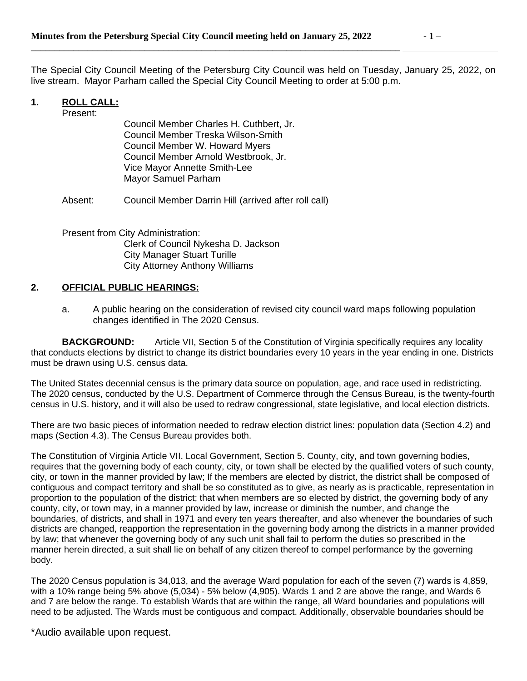**\_\_\_\_\_\_\_\_\_\_\_\_\_\_\_\_\_\_\_\_\_\_\_\_\_\_\_\_\_\_\_\_\_\_\_\_\_\_\_\_\_\_\_\_\_\_\_\_\_\_\_\_\_\_\_\_\_\_\_\_\_\_\_\_\_\_\_\_\_\_\_\_\_\_\_\_\_\_** 

The Special City Council Meeting of the Petersburg City Council was held on Tuesday, January 25, 2022, on live stream. Mayor Parham called the Special City Council Meeting to order at 5:00 p.m.

## **1. ROLL CALL:**

Present:

Council Member Charles H. Cuthbert, Jr. Council Member Treska Wilson-Smith Council Member W. Howard Myers Council Member Arnold Westbrook, Jr. Vice Mayor Annette Smith-Lee Mayor Samuel Parham

Absent: Council Member Darrin Hill (arrived after roll call)

Present from City Administration: Clerk of Council Nykesha D. Jackson City Manager Stuart Turille City Attorney Anthony Williams

## **2. OFFICIAL PUBLIC HEARINGS:**

a. A public hearing on the consideration of revised city council ward maps following population changes identified in The 2020 Census.

**BACKGROUND:** Article VII, Section 5 of the Constitution of Virginia specifically requires any locality that conducts elections by district to change its district boundaries every 10 years in the year ending in one. Districts must be drawn using U.S. census data.

The United States decennial census is the primary data source on population, age, and race used in redistricting. The 2020 census, conducted by the U.S. Department of Commerce through the Census Bureau, is the twenty-fourth census in U.S. history, and it will also be used to redraw congressional, state legislative, and local election districts.

There are two basic pieces of information needed to redraw election district lines: population data (Section 4.2) and maps (Section 4.3). The Census Bureau provides both.

The Constitution of Virginia Article VII. Local Government, Section 5. County, city, and town governing bodies, requires that the governing body of each county, city, or town shall be elected by the qualified voters of such county, city, or town in the manner provided by law; If the members are elected by district, the district shall be composed of contiguous and compact territory and shall be so constituted as to give, as nearly as is practicable, representation in proportion to the population of the district; that when members are so elected by district, the governing body of any county, city, or town may, in a manner provided by law, increase or diminish the number, and change the boundaries, of districts, and shall in 1971 and every ten years thereafter, and also whenever the boundaries of such districts are changed, reapportion the representation in the governing body among the districts in a manner provided by law; that whenever the governing body of any such unit shall fail to perform the duties so prescribed in the manner herein directed, a suit shall lie on behalf of any citizen thereof to compel performance by the governing body.

The 2020 Census population is 34,013, and the average Ward population for each of the seven (7) wards is 4,859, with a 10% range being 5% above (5,034) - 5% below (4,905). Wards 1 and 2 are above the range, and Wards 6 and 7 are below the range. To establish Wards that are within the range, all Ward boundaries and populations will need to be adjusted. The Wards must be contiguous and compact. Additionally, observable boundaries should be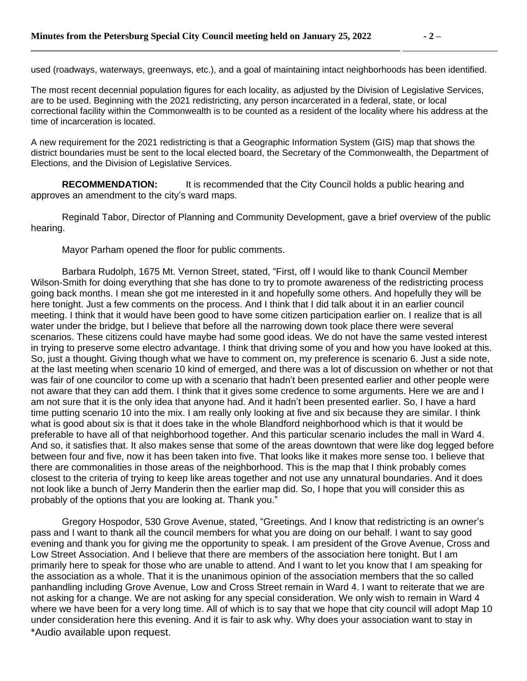used (roadways, waterways, greenways, etc.), and a goal of maintaining intact neighborhoods has been identified.

The most recent decennial population figures for each locality, as adjusted by the Division of Legislative Services, are to be used. Beginning with the 2021 redistricting, any person incarcerated in a federal, state, or local correctional facility within the Commonwealth is to be counted as a resident of the locality where his address at the time of incarceration is located.

A new requirement for the 2021 redistricting is that a Geographic Information System (GIS) map that shows the district boundaries must be sent to the local elected board, the Secretary of the Commonwealth, the Department of Elections, and the Division of Legislative Services.

**RECOMMENDATION:** It is recommended that the City Council holds a public hearing and approves an amendment to the city's ward maps.

Reginald Tabor, Director of Planning and Community Development, gave a brief overview of the public hearing.

Mayor Parham opened the floor for public comments.

Barbara Rudolph, 1675 Mt. Vernon Street, stated, "First, off I would like to thank Council Member Wilson-Smith for doing everything that she has done to try to promote awareness of the redistricting process going back months. I mean she got me interested in it and hopefully some others. And hopefully they will be here tonight. Just a few comments on the process. And I think that I did talk about it in an earlier council meeting. I think that it would have been good to have some citizen participation earlier on. I realize that is all water under the bridge, but I believe that before all the narrowing down took place there were several scenarios. These citizens could have maybe had some good ideas. We do not have the same vested interest in trying to preserve some electro advantage. I think that driving some of you and how you have looked at this. So, just a thought. Giving though what we have to comment on, my preference is scenario 6. Just a side note, at the last meeting when scenario 10 kind of emerged, and there was a lot of discussion on whether or not that was fair of one councilor to come up with a scenario that hadn't been presented earlier and other people were not aware that they can add them. I think that it gives some credence to some arguments. Here we are and I am not sure that it is the only idea that anyone had. And it hadn't been presented earlier. So, I have a hard time putting scenario 10 into the mix. I am really only looking at five and six because they are similar. I think what is good about six is that it does take in the whole Blandford neighborhood which is that it would be preferable to have all of that neighborhood together. And this particular scenario includes the mall in Ward 4. And so, it satisfies that. It also makes sense that some of the areas downtown that were like dog legged before between four and five, now it has been taken into five. That looks like it makes more sense too. I believe that there are commonalities in those areas of the neighborhood. This is the map that I think probably comes closest to the criteria of trying to keep like areas together and not use any unnatural boundaries. And it does not look like a bunch of Jerry Manderin then the earlier map did. So, I hope that you will consider this as probably of the options that you are looking at. Thank you."

\*Audio available upon request. Gregory Hospodor, 530 Grove Avenue, stated, "Greetings. And I know that redistricting is an owner's pass and I want to thank all the council members for what you are doing on our behalf. I want to say good evening and thank you for giving me the opportunity to speak. I am president of the Grove Avenue, Cross and Low Street Association. And I believe that there are members of the association here tonight. But I am primarily here to speak for those who are unable to attend. And I want to let you know that I am speaking for the association as a whole. That it is the unanimous opinion of the association members that the so called panhandling including Grove Avenue, Low and Cross Street remain in Ward 4. I want to reiterate that we are not asking for a change. We are not asking for any special consideration. We only wish to remain in Ward 4 where we have been for a very long time. All of which is to say that we hope that city council will adopt Map 10 under consideration here this evening. And it is fair to ask why. Why does your association want to stay in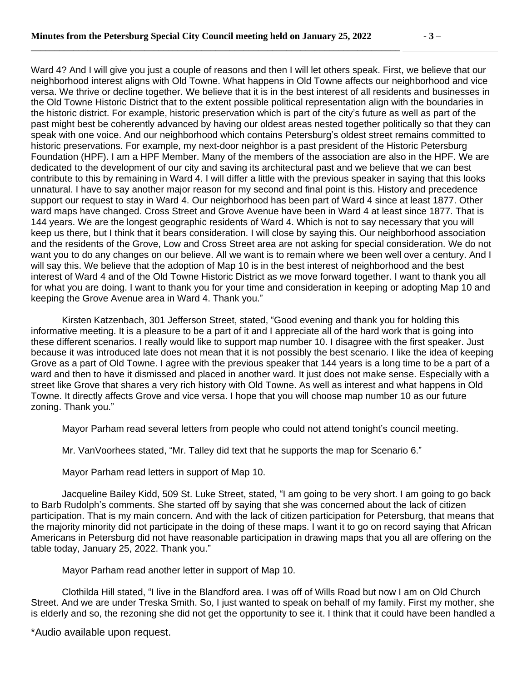**\_\_\_\_\_\_\_\_\_\_\_\_\_\_\_\_\_\_\_\_\_\_\_\_\_\_\_\_\_\_\_\_\_\_\_\_\_\_\_\_\_\_\_\_\_\_\_\_\_\_\_\_\_\_\_\_\_\_\_\_\_\_\_\_\_\_\_\_\_\_\_\_\_\_\_\_\_\_** 

Ward 4? And I will give you just a couple of reasons and then I will let others speak. First, we believe that our neighborhood interest aligns with Old Towne. What happens in Old Towne affects our neighborhood and vice versa. We thrive or decline together. We believe that it is in the best interest of all residents and businesses in the Old Towne Historic District that to the extent possible political representation align with the boundaries in the historic district. For example, historic preservation which is part of the city's future as well as part of the past might best be coherently advanced by having our oldest areas nested together politically so that they can speak with one voice. And our neighborhood which contains Petersburg's oldest street remains committed to historic preservations. For example, my next-door neighbor is a past president of the Historic Petersburg Foundation (HPF). I am a HPF Member. Many of the members of the association are also in the HPF. We are dedicated to the development of our city and saving its architectural past and we believe that we can best contribute to this by remaining in Ward 4. I will differ a little with the previous speaker in saying that this looks unnatural. I have to say another major reason for my second and final point is this. History and precedence support our request to stay in Ward 4. Our neighborhood has been part of Ward 4 since at least 1877. Other ward maps have changed. Cross Street and Grove Avenue have been in Ward 4 at least since 1877. That is 144 years. We are the longest geographic residents of Ward 4. Which is not to say necessary that you will keep us there, but I think that it bears consideration. I will close by saying this. Our neighborhood association and the residents of the Grove, Low and Cross Street area are not asking for special consideration. We do not want you to do any changes on our believe. All we want is to remain where we been well over a century. And I will say this. We believe that the adoption of Map 10 is in the best interest of neighborhood and the best interest of Ward 4 and of the Old Towne Historic District as we move forward together. I want to thank you all for what you are doing. I want to thank you for your time and consideration in keeping or adopting Map 10 and keeping the Grove Avenue area in Ward 4. Thank you."

Kirsten Katzenbach, 301 Jefferson Street, stated, "Good evening and thank you for holding this informative meeting. It is a pleasure to be a part of it and I appreciate all of the hard work that is going into these different scenarios. I really would like to support map number 10. I disagree with the first speaker. Just because it was introduced late does not mean that it is not possibly the best scenario. I like the idea of keeping Grove as a part of Old Towne. I agree with the previous speaker that 144 years is a long time to be a part of a ward and then to have it dismissed and placed in another ward. It just does not make sense. Especially with a street like Grove that shares a very rich history with Old Towne. As well as interest and what happens in Old Towne. It directly affects Grove and vice versa. I hope that you will choose map number 10 as our future zoning. Thank you."

Mayor Parham read several letters from people who could not attend tonight's council meeting.

Mr. VanVoorhees stated, "Mr. Talley did text that he supports the map for Scenario 6."

Mayor Parham read letters in support of Map 10.

Jacqueline Bailey Kidd, 509 St. Luke Street, stated, "I am going to be very short. I am going to go back to Barb Rudolph's comments. She started off by saying that she was concerned about the lack of citizen participation. That is my main concern. And with the lack of citizen participation for Petersburg, that means that the majority minority did not participate in the doing of these maps. I want it to go on record saying that African Americans in Petersburg did not have reasonable participation in drawing maps that you all are offering on the table today, January 25, 2022. Thank you."

Mayor Parham read another letter in support of Map 10.

Clothilda Hill stated, "I live in the Blandford area. I was off of Wills Road but now I am on Old Church Street. And we are under Treska Smith. So, I just wanted to speak on behalf of my family. First my mother, she is elderly and so, the rezoning she did not get the opportunity to see it. I think that it could have been handled a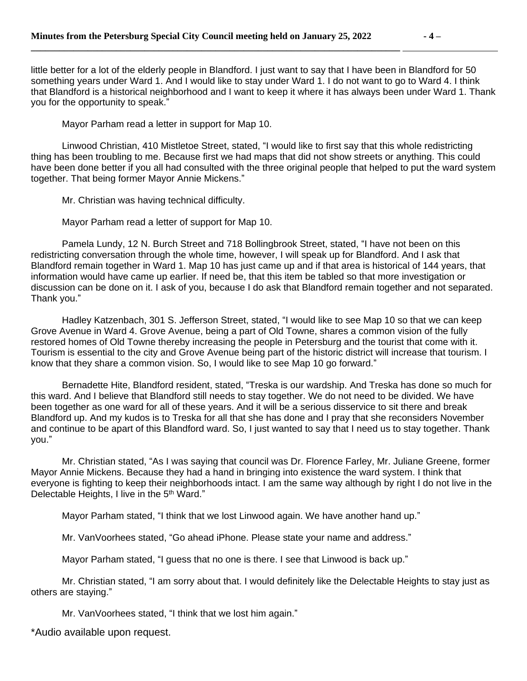**\_\_\_\_\_\_\_\_\_\_\_\_\_\_\_\_\_\_\_\_\_\_\_\_\_\_\_\_\_\_\_\_\_\_\_\_\_\_\_\_\_\_\_\_\_\_\_\_\_\_\_\_\_\_\_\_\_\_\_\_\_\_\_\_\_\_\_\_\_\_\_\_\_\_\_\_\_\_** 

little better for a lot of the elderly people in Blandford. I just want to say that I have been in Blandford for 50 something years under Ward 1. And I would like to stay under Ward 1. I do not want to go to Ward 4. I think that Blandford is a historical neighborhood and I want to keep it where it has always been under Ward 1. Thank you for the opportunity to speak."

Mayor Parham read a letter in support for Map 10.

Linwood Christian, 410 Mistletoe Street, stated, "I would like to first say that this whole redistricting thing has been troubling to me. Because first we had maps that did not show streets or anything. This could have been done better if you all had consulted with the three original people that helped to put the ward system together. That being former Mayor Annie Mickens."

Mr. Christian was having technical difficulty.

Mayor Parham read a letter of support for Map 10.

Pamela Lundy, 12 N. Burch Street and 718 Bollingbrook Street, stated, "I have not been on this redistricting conversation through the whole time, however, I will speak up for Blandford. And I ask that Blandford remain together in Ward 1. Map 10 has just came up and if that area is historical of 144 years, that information would have came up earlier. If need be, that this item be tabled so that more investigation or discussion can be done on it. I ask of you, because I do ask that Blandford remain together and not separated. Thank you."

Hadley Katzenbach, 301 S. Jefferson Street, stated, "I would like to see Map 10 so that we can keep Grove Avenue in Ward 4. Grove Avenue, being a part of Old Towne, shares a common vision of the fully restored homes of Old Towne thereby increasing the people in Petersburg and the tourist that come with it. Tourism is essential to the city and Grove Avenue being part of the historic district will increase that tourism. I know that they share a common vision. So, I would like to see Map 10 go forward."

Bernadette Hite, Blandford resident, stated, "Treska is our wardship. And Treska has done so much for this ward. And I believe that Blandford still needs to stay together. We do not need to be divided. We have been together as one ward for all of these years. And it will be a serious disservice to sit there and break Blandford up. And my kudos is to Treska for all that she has done and I pray that she reconsiders November and continue to be apart of this Blandford ward. So, I just wanted to say that I need us to stay together. Thank you."

Mr. Christian stated, "As I was saying that council was Dr. Florence Farley, Mr. Juliane Greene, former Mayor Annie Mickens. Because they had a hand in bringing into existence the ward system. I think that everyone is fighting to keep their neighborhoods intact. I am the same way although by right I do not live in the Delectable Heights, I live in the 5<sup>th</sup> Ward."

Mayor Parham stated, "I think that we lost Linwood again. We have another hand up."

Mr. VanVoorhees stated, "Go ahead iPhone. Please state your name and address."

Mayor Parham stated, "I guess that no one is there. I see that Linwood is back up."

Mr. Christian stated, "I am sorry about that. I would definitely like the Delectable Heights to stay just as others are staying."

Mr. VanVoorhees stated, "I think that we lost him again."